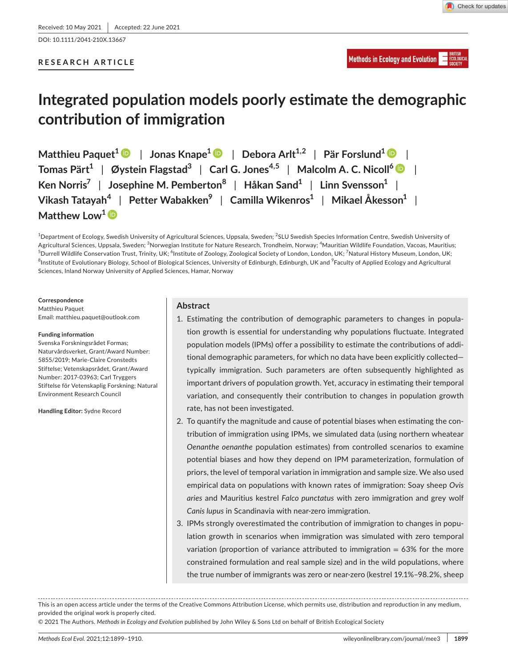DOI: 10.1111/2041-210X.13667

### **RESEARCH ARTICLE**

# **Integrated population models poorly estimate the demographic contribution of immigration**

**Matthieu Paquet<sup>1</sup> | Jonas Knape<sup>1</sup> | Debora Arlt<sup>1,2</sup> | Pär Forslund<sup>1</sup> | | Tomas Pärt1** | **Øystein Flagstad<sup>3</sup>** | **Carl G. Jones4,5** | **Malcolm A. C. Nicoll[6](https://orcid.org/0000-0001-6212-4787)** | **Ken Norris<sup>7</sup>** | **Josephine M. Pemberton<sup>8</sup>** | **Håkan Sand1** | **Linn Svensson1** | **Vikash Tatayah<sup>4</sup>** | **Petter Wabakken9** | **Camilla Wikenros1** | **Mikael Åkesson1** | **Matthew Low**<sup>[1](https://orcid.org/0000-0002-7345-6063)</sup> **D** 

 $^{\rm 1}$ Department of Ecology, Swedish University of Agricultural Sciences, Uppsala, Sweden;  $^{\rm 2}$ SLU Swedish Species Information Centre, Swedish University of Agricultural Sciences, Uppsala, Sweden; <sup>3</sup>Norwegian Institute for Nature Research, Trondheim, Norway; <sup>4</sup>Mauritian Wildlife Foundation, Vacoas, Mauritius; <sup>5</sup>Durrell Wildlife Conservation Trust, Trinity, UK; <sup>6</sup>Institute of Zoology, Zoological Society of London, London, UK; <sup>7</sup>Natural History Museum, London, UK;  $^8$ Institute of Evolutionary Biology, School of Biological Sciences, University of Edinburgh, Edinburgh, UK and  $^3$ Faculty of Applied Ecology and Agricultural Sciences, Inland Norway University of Applied Sciences, Hamar, Norway

**Correspondence** Matthieu Paquet Email: [matthieu.paquet@outlook.com](mailto:matthieu.paquet@outlook.com)

### **Funding information**

Svenska Forskningsrådet Formas; Naturvårdsverket, Grant/Award Number: 5855/2019; Marie-Claire Cronstedts Stiftelse; Vetenskapsrådet, Grant/Award Number: 2017-03963; Carl Tryggers Stiftelse för Vetenskaplig Forskning; Natural Environment Research Council

**Handling Editor:** Sydne Record

### **Abstract**

- 1. Estimating the contribution of demographic parameters to changes in population growth is essential for understanding why populations fluctuate. Integrated population models (IPMs) offer a possibility to estimate the contributions of additional demographic parameters, for which no data have been explicitly collected typically immigration. Such parameters are often subsequently highlighted as important drivers of population growth. Yet, accuracy in estimating their temporal variation, and consequently their contribution to changes in population growth rate, has not been investigated.
- 2. To quantify the magnitude and cause of potential biases when estimating the contribution of immigration using IPMs, we simulated data (using northern wheatear *Oenanthe oenanthe* population estimates) from controlled scenarios to examine potential biases and how they depend on IPM parameterization, formulation of priors, the level of temporal variation in immigration and sample size. We also used empirical data on populations with known rates of immigration: Soay sheep *Ovis aries* and Mauritius kestrel *Falco punctatus* with zero immigration and grey wolf *Canis lupus* in Scandinavia with near-zero immigration.
- 3. IPMs strongly overestimated the contribution of immigration to changes in population growth in scenarios when immigration was simulated with zero temporal variation (proportion of variance attributed to immigration  $= 63\%$  for the more constrained formulation and real sample size) and in the wild populations, where the true number of immigrants was zero or near-zero (kestrel 19.1%–98.2%, sheep

© 2021 The Authors. *Methods in Ecology and Evolution* published by John Wiley & Sons Ltd on behalf of British Ecological Society

This is an open access article under the terms of the [Creative Commons Attribution](http://creativecommons.org/licenses/by/4.0/) License, which permits use, distribution and reproduction in any medium, provided the original work is properly cited.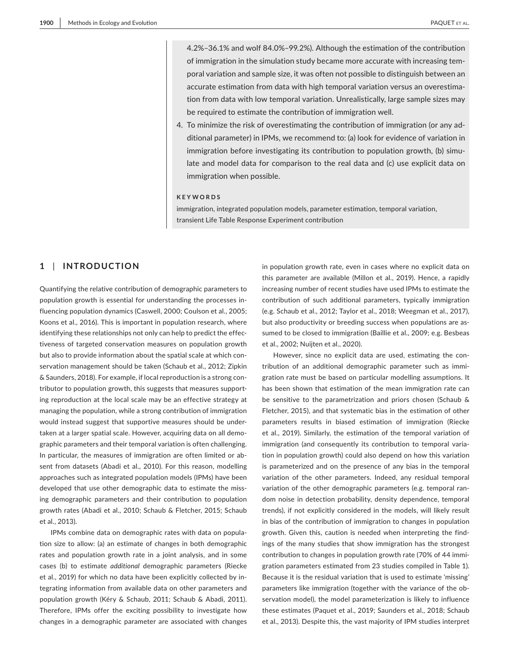4.2%–36.1% and wolf 84.0%–99.2%). Although the estimation of the contribution of immigration in the simulation study became more accurate with increasing temporal variation and sample size, it was often not possible to distinguish between an accurate estimation from data with high temporal variation versus an overestimation from data with low temporal variation. Unrealistically, large sample sizes may be required to estimate the contribution of immigration well.

4. To minimize the risk of overestimating the contribution of immigration (or any additional parameter) in IPMs, we recommend to: (a) look for evidence of variation in immigration before investigating its contribution to population growth, (b) simulate and model data for comparison to the real data and (c) use explicit data on immigration when possible.

### **KEYWORDS**

immigration, integrated population models, parameter estimation, temporal variation, transient Life Table Response Experiment contribution

## **1** | **INTRODUCTION**

Quantifying the relative contribution of demographic parameters to population growth is essential for understanding the processes influencing population dynamics (Caswell, 2000; Coulson et al., 2005; Koons et al., 2016). This is important in population research, where identifying these relationships not only can help to predict the effectiveness of targeted conservation measures on population growth but also to provide information about the spatial scale at which conservation management should be taken (Schaub et al., 2012; Zipkin & Saunders, 2018). For example, if local reproduction is a strong contributor to population growth, this suggests that measures supporting reproduction at the local scale may be an effective strategy at managing the population, while a strong contribution of immigration would instead suggest that supportive measures should be undertaken at a larger spatial scale. However, acquiring data on all demographic parameters and their temporal variation is often challenging. In particular, the measures of immigration are often limited or absent from datasets (Abadi et al., 2010). For this reason, modelling approaches such as integrated population models (IPMs) have been developed that use other demographic data to estimate the missing demographic parameters and their contribution to population growth rates (Abadi et al., 2010; Schaub & Fletcher, 2015; Schaub et al., 2013).

IPMs combine data on demographic rates with data on population size to allow: (a) an estimate of changes in both demographic rates and population growth rate in a joint analysis, and in some cases (b) to estimate *additional* demographic parameters (Riecke et al., 2019) for which no data have been explicitly collected by integrating information from available data on other parameters and population growth (Kéry & Schaub, 2011; Schaub & Abadi, 2011). Therefore, IPMs offer the exciting possibility to investigate how changes in a demographic parameter are associated with changes

in population growth rate, even in cases where no explicit data on this parameter are available (Millon et al., 2019). Hence, a rapidly increasing number of recent studies have used IPMs to estimate the contribution of such additional parameters, typically immigration (e.g. Schaub et al., 2012; Taylor et al., 2018; Weegman et al., 2017), but also productivity or breeding success when populations are assumed to be closed to immigration (Baillie et al., 2009; e.g. Besbeas et al., 2002; Nuijten et al., 2020).

However, since no explicit data are used, estimating the contribution of an additional demographic parameter such as immigration rate must be based on particular modelling assumptions. It has been shown that estimation of the mean immigration rate can be sensitive to the parametrization and priors chosen (Schaub & Fletcher, 2015), and that systematic bias in the estimation of other parameters results in biased estimation of immigration (Riecke et al., 2019). Similarly, the estimation of the temporal variation of immigration (and consequently its contribution to temporal variation in population growth) could also depend on how this variation is parameterized and on the presence of any bias in the temporal variation of the other parameters. Indeed, any residual temporal variation of the other demographic parameters (e.g. temporal random noise in detection probability, density dependence, temporal trends), if not explicitly considered in the models, will likely result in bias of the contribution of immigration to changes in population growth. Given this, caution is needed when interpreting the findings of the many studies that show immigration has the strongest contribution to changes in population growth rate (70% of 44 immigration parameters estimated from 23 studies compiled in Table 1). Because it is the residual variation that is used to estimate 'missing' parameters like immigration (together with the variance of the observation model), the model parameterization is likely to influence these estimates (Paquet et al., 2019; Saunders et al., 2018; Schaub et al., 2013). Despite this, the vast majority of IPM studies interpret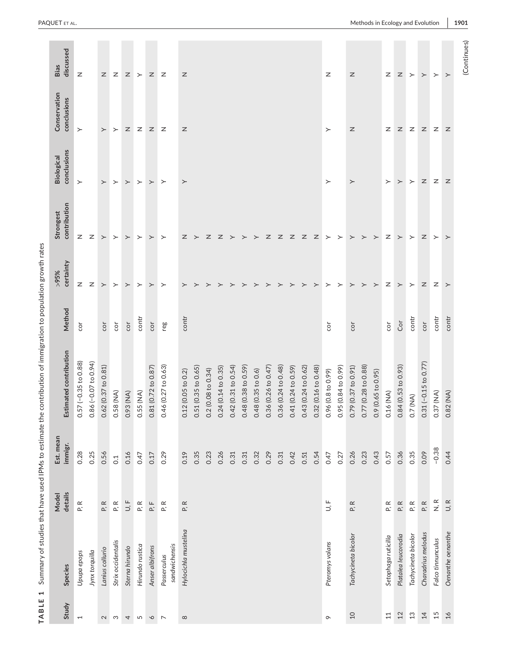| 1<br>TABLE               | Summary of studies that have used IPMs to estimate th |                          |                      | ne contribution of immigration to population growth rates |        |                      |                                     |                                              |                             |                   |
|--------------------------|-------------------------------------------------------|--------------------------|----------------------|-----------------------------------------------------------|--------|----------------------|-------------------------------------|----------------------------------------------|-----------------------------|-------------------|
| Study                    | Species                                               | details<br>Model         | Est. mean<br>immigr. | Estimated contribution                                    | Method | certainty<br>$\%5\%$ | contribution<br>Strongest           | conclusions<br>Biological                    | Conservation<br>conclusions | discussed<br>Bias |
| $\overline{\phantom{0}}$ | Upupa epops                                           | $\simeq$<br>L.           | 0.28                 | $0.57 (-0.35 to 0.88)$                                    | č      | Z                    | $\mathsf{z}$                        | $\succ$                                      | $\succ$                     | Z                 |
|                          | Jynx torquilla                                        |                          | 0.25                 | $0.86 (-0.07 to 0.94)$                                    |        | Z                    | Z                                   |                                              |                             |                   |
| $\sim$                   | Lanius collurio                                       | P, R                     | 0.56                 | 0.62 (0.37 to 0.81)                                       | cor    | $\succ$              | $\succ$                             | $\succ$                                      | $\succ$                     | $\mathsf{z}$      |
| S                        | Strix occidentalis                                    | P, R                     | $\overline{C}$       | 0.58(MA)                                                  | cor    | $\succ$              | $\succ$                             | $\succ$                                      | $\succ$                     | $\mathsf{Z}$      |
| $\overline{4}$           | Sterna hirundo                                        | $\cup$ :                 | 0.16                 | 0.93 (NA)                                                 | cor    | $\succ$              | $\succ$                             | $\succ$                                      | $\mathsf Z$                 | $\mathsf{z}$      |
| $\sqrt{2}$               | Hirundo rustica                                       | P, R                     | 0.47                 | $0.55$ (NA)                                               | contr  | $\succ$              | $\succ$                             | $\succ$                                      | $\mathsf{z}$                | $\succ$           |
| $\infty$                 | Anser albifrons                                       | P, F                     | 0.17                 | 0.81 (0.72 to 0.87)                                       | cor    | $\succ$              | $\succ$                             | $\succ$                                      | $\mathsf Z$                 | $\mathsf Z$       |
| $\overline{ }$           | sandwichensis<br>Passerculus                          | $\simeq$<br>L.           | 0.29                 | 0.46 (0.27 to 0.63)                                       | reg    | $\succ$              | $\succ$                             | $\succ$                                      | $\mathsf{z}$                | $\mathsf{z}$      |
| $\infty$                 | Hylocichla mustelina                                  | $\simeq$<br><b>Δ^</b>    | 0.19                 | 0.12(0.05 to 0.2)                                         | contr  | ≻                    | Z                                   | $\succ$                                      | $\mathsf Z$                 | z                 |
|                          |                                                       |                          | 0.35                 | 0.51 (0.35 to 0.65)                                       |        | $\succ$              | $\rightarrow$                       |                                              |                             |                   |
|                          |                                                       |                          | 0.23                 | 0.2 (0.08 to 0.34)                                        |        | $\succ$              | $\mathbb{Z}$                        |                                              |                             |                   |
|                          |                                                       |                          | 0.26                 | 0.24 (0.14 to 0.35)                                       |        | ≻                    | Z                                   |                                              |                             |                   |
|                          |                                                       |                          | 0.31                 | 0.42 (0.31 to 0.54)                                       |        | $\succ$              | $\succ$                             |                                              |                             |                   |
|                          |                                                       |                          | 0.31                 | 0.48 (0.38 to 0.59)                                       |        | $\succ$              | $\succ$                             |                                              |                             |                   |
|                          |                                                       |                          | 0.32                 | 0.48(0.35 to 0.6)                                         |        | $\succ$              | $\succ$                             |                                              |                             |                   |
|                          |                                                       |                          | 0.29                 | 0.36 (0.26 to 0.47                                        |        | $\succ$              | $\mathsf{z}% _{0}\in\mathsf{z}_{0}$ |                                              |                             |                   |
|                          |                                                       |                          | 0.31                 | 0.36 (0.24 to 0.48)                                       |        | $\rightarrow$        | $\mathbb{Z}$                        |                                              |                             |                   |
|                          |                                                       |                          | 0.42                 | 0.41 (0.24 to 0.59)                                       |        | $\rightarrow$        | z z                                 |                                              |                             |                   |
|                          |                                                       |                          | 0.51                 | 0.43 (0.24 to 0.62)                                       |        | $\succ$              |                                     |                                              |                             |                   |
|                          |                                                       |                          | 0.54                 | 0.32 (0.16 to 0.48)                                       |        | $\mathbf{r}$         | $\mathbb{Z}$                        |                                              |                             |                   |
| $\circ$                  | Pteromys volans                                       | $\mathsf{L}$             | 0.47                 | 0.96 (0.8 to 0.99)                                        | č      | $\geq$               | $\rightarrow$                       | $\succ$                                      | $\succ$                     | Z                 |
|                          |                                                       |                          | 0.27                 | 0.95 (0.84 to 0.99)                                       |        | $\succ$              | $\succ$                             |                                              |                             |                   |
| $10$                     | Tachycineta bicolor                                   | $\simeq$<br>c,           | 0.26                 | 0.79 (0.37 to 0.91                                        | cor    | $\succ$              | $\succ$                             | $\succ$                                      | Z                           | Z                 |
|                          |                                                       |                          | 0.23                 | 0.77 (0.28 to 0.88)                                       |        | $\succ$              | $\succ$                             |                                              |                             |                   |
|                          |                                                       |                          | 0.43                 | 0.9 (0.65 to 0.95)                                        |        | $\succ$              | $\succ$                             |                                              |                             |                   |
| $11$                     | Setophaga ruticilla                                   | $\simeq$<br>$\mathbf{r}$ | 0.57                 | 0.16 (NA)                                                 | č      | Z                    | Ζ                                   | $\succ$                                      | Z                           | $\mathsf{z}$      |
| $12$                     | Platalea leucorodia                                   | P, R                     | 0.36                 | 0.84 (0.53 to 0.93)                                       | Cor    | $\succ$              | $\succ$                             | $\succ$                                      | Z                           | $\mathsf{z}$      |
| 13                       | Tachycineta bicolor                                   | P, R                     | 0.35                 | 0.7 (NA)                                                  | contr  | $\succ$              | $\succ$                             | $\succ$                                      | Z                           | $\succ$           |
| 14                       | Charadrius melodus                                    | P, R                     | 0.09                 | $0.31$ (-0.15 to 0.77)                                    | cor    | z                    | Z                                   | Z                                            | Z                           | $\succ$           |
| 15                       | Falco tinnunculus                                     | $\mathbf{N},\mathbf{R}$  | $-0.38$              | 0.37 (NA)                                                 | contr  | Ζ                    | $\succ$                             | $\mathsf{z}% _{T}\!\left( \mathsf{z}\right)$ | Z                           | $\succ$           |
| $26$                     | Oenanthe oenanthe                                     | U, R                     | 0.44                 | 0.82 (NA)                                                 | contr  | $\succ$              | $\succ$                             | Z                                            | Z                           | $\succ$           |
|                          |                                                       |                          |                      |                                                           |        |                      |                                     |                                              |                             | (Continue         |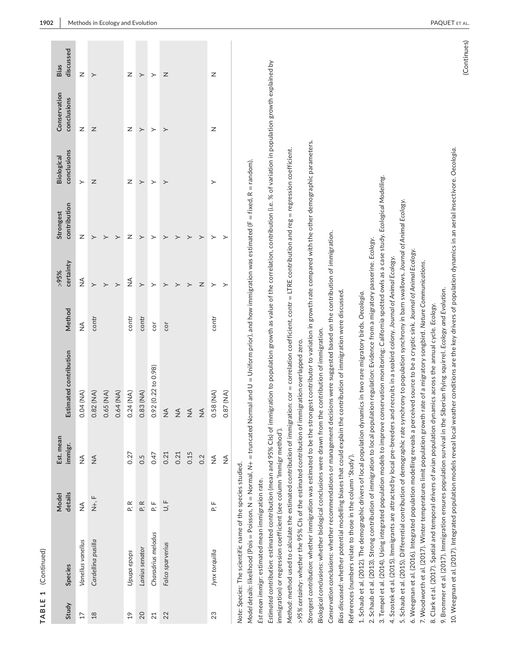| ۹ |
|---|
|   |
|   |
|   |
|   |
| ٦ |
|   |
|   |
|   |

| discussed<br>Bias                | $\overline{z}$    |                    |           |           | Z             |                  |                    | Z                |               |               |               | Z              |               |  |
|----------------------------------|-------------------|--------------------|-----------|-----------|---------------|------------------|--------------------|------------------|---------------|---------------|---------------|----------------|---------------|--|
| Conservation<br>conclusions      |                   | ≻                  |           |           |               | ≻                | ≻                  |                  |               |               |               |                |               |  |
|                                  | Z                 | Z                  |           |           | Z             | ≻                | ≻                  | $\succ$          |               |               |               | Z              |               |  |
| conclusions<br><b>Biological</b> | $\rightarrow$     | Z                  |           |           | Z             | ≻                | ≻                  | ≻                |               |               |               | $\succ$        |               |  |
| contribution<br>Strongest        | Z                 |                    |           |           | z             | >                |                    |                  |               |               |               |                | ≻             |  |
| certainty<br>>95%                | $\frac{1}{2}$     | $\rightarrow$      | $\rm{^>}$ |           | ≨             | $\left. \right.$ | ≻                  | $\mathbf{I}$     |               |               | z             | >              |               |  |
| Method                           | $\frac{1}{2}$     | contr              |           |           | contr         | contr            | cor                | cor              |               |               |               | contr          |               |  |
| Estimated contribution           | 0.04 (NA)         | 0.82 (NA)          | 0.65 (NA) | 0.64 (NA) | 0.24 (NA)     | $0.83$ (NA)      | 0.92(0.22 to 0.98) | $\frac{4}{2}$    | $\frac{4}{2}$ | $\frac{4}{2}$ | $\frac{1}{2}$ | 0.58 (NA)      | 0.87 (NA)     |  |
| Est. mean<br>immigr.             | $\lessgtr$        | $\lessgtr$         |           |           | 0.27          | 0.5              | 0.47               | 0.21             | 0.21          | 0.15          | 0.2           | $\frac{4}{2}$  | $\frac{4}{2}$ |  |
| details<br><b>Model</b>          | $\frac{1}{2}$     | $\frac{L}{Z}$      |           |           | P.R           | P.R              | P.<br>F            | $\cup, \vdash$   |               |               |               | P.F            |               |  |
| <b>Species</b>                   | Vanellus vanellus | Cardellina pusilla |           |           | Upupa epops   | Lanius senator   | Charadrius melodus | Falco sparverius |               |               |               | Jynx torquilla |               |  |
| Study                            | $\overline{17}$   | $\frac{8}{18}$     |           |           | $\frac{1}{2}$ | 20               | 21                 | 22               |               |               |               | 23             |               |  |

Note: Species: The scientific name of the species studied. *Note: Species*: The scientific name of the species studied. Model details: likelihood (Pois = Poisson, N = Normal, N+ = truncated Normal and U = Uniform prior), and how immigration was estimated (F = fixed, R = random). *Model details*: likelihood (Pois = Poisson, N = Normal, *N*+ = truncated Normal and U = Uniform prior), and how immigration was estimated (F = fixed, R = random).

Est mean immigr: estimated mean immigration rate. *Est mean immigr*: estimated mean immigration rate.

Estimated contribution: estimated contribution (mean and 95% Cls) of immigration to population growth as value of the correlation, contribution (i.e. % of variation in population growth explained by *Estimated contribution*: estimated contribution (mean and 95% CIs) of immigration to population growth as value of the correlation, contribution (i.e. % of variation in population growth explained by immigration) or regression coefficient (see column 'Immigr method'). immigration) or regression coefficient (see column 'Immigr method').

Method: method used to calculate the estimated contribution of immigration:  $\cot$  = correlation coefficient, contr = LTRE contribution and reg = regression coefficient. *Method*: method used to calculate the estimated contribution of immigration: cor = correlation coefficient, contr = LTRE contribution and reg = regression coefficient.

 $\sim$ 95% certainty: whether the 95% CIs of the estimated contribution of immigration overlapped zero. *>95% certainty*: whether the 95% CIs of the estimated contribution of immigration overlapped zero.

*Strongest contribution*: whether immigration was estimated to be the strongest contributor to variation in growth rate compared with the other demographic parameters. *Strongest contribution: whether immigration was estimated to be the strongest contributor to variation in growth rate compared with the other demographic parameters.* 

Biological conclusions: whether biological conclusions were drawn from the contribution of immigration. *Biological conclusions*: whether biological conclusions were drawn from the contribution of immigration.

Conservation conclusions: whether recommendations or management decisions were suggested based on the contribution of immigration. *Conservation conclusions*: whether recommendations or management decisions were suggested based on the contribution of immigration.

Bias discussed: whether potential modelling biases that could explain the contribution of immigration were discussed *Bias discussed*: whether potential modelling biases that could explain the contribution of immigration were discussed.

References (numbers relate to those in the column 'Study'). References (numbers relate to those in the column 'Study').

2. Schaub et al. (2013). Strong contribution of immigration to local population regulation: Evidence from a migratory passerine. Ecology. 2. Schaub et al. (2013). Strong contribution of immigration to local population regulation: Evidence from a migratory passerine. *Ecology*. 1. Schaub et al. (2012). The demographic drivers of local population dynamics in two rare migratory birds. Oecologia. 1. Schaub et al. (2012). The demographic drivers of local population dynamics in two rare migratory birds. *Oecologia*.

3. Tempel et al. (2014). Using integrated population models to improve conservation monitoring: California spotted owls as a case study. Ecological Modelling. 3. Tempel et al. (2014). Using integrated population models to improve conservation monitoring: California spotted owls as a case study. *Ecological Modelling*.

4. Szostek et al. (2015). Immigrants are attracted by local pre-breeders and recruits in a seabird colony. Journal of Animal Ecology. 4. Szostek et al. (2015). Immigrants are attracted by local pre-breeders and recruits in a seabird colony. *Journal of Animal Ecology*.

5. Schaub et al. (2015). Differential contribution of demographic rate synchrony to population synchrony in barn swallows. Journal of Animal Ecology. 5. Schaub et al. (2015). Differential contribution of demographic rate synchrony to population synchrony in barn swallows. *Journal of Animal Ecology*.

6. Weegman et al. (2016). Integrated population modelling reveals a perceived source to be a cryptic sink. Journal of Animal Ecology. 6. Weegman et al. (2016). Integrated population modelling reveals a perceived source to be a cryptic sink. *Journal of Animal Ecology*.

7. Woodworth et al. (2017). Winter temperatures limit population growth rate of a migratory songbird. Nature Communications. 7. Woodworth et al. (2017). Winter temperatures limit population growth rate of a migratory songbird. *Nature Communications*.

8. Clark et al. (2017). Spatial and temporal drivers of avian population dynamics across the annual cycle. Ecology. 8. Clark et al. (2017). Spatial and temporal drivers of avian population dynamics across the annual cycle. *Ecology*.

9. Brommer et al. (2017). Immigration ensures population survival in the Siberian flying squirrel. Ecology and Evolution. 9. Brommer et al. (2017). Immigration ensures population survival in the Siberian flying squirrel. *Ecology and Evolution*.

10. Weegman et al. (2017). Integrated population models reveal local weather conditions are the key drivers of population dynamics in an aerial insectivore. Oecologia. 10. Weegman et al. (2017). Integrated population models reveal local weather conditions are the key drivers of population dynamics in an aerial insectivore. *Oecologia*.

(Continues) (Continues)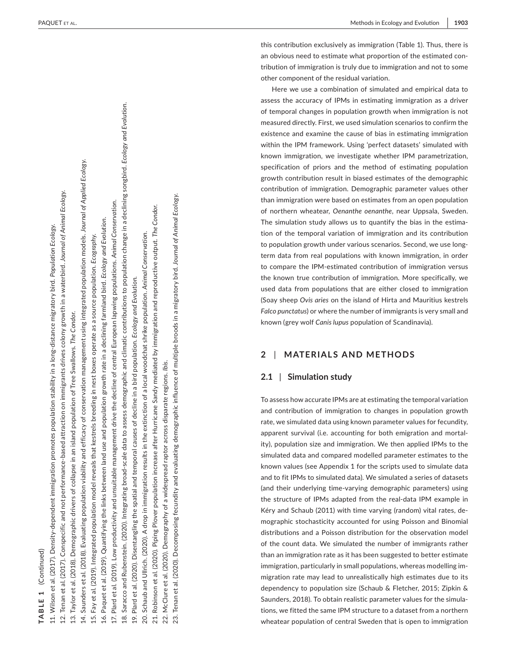this contribution exclusively as immigration (Table 1). Thus, there is an obvious need to estimate what proportion of the estimated con tribution of immigration is truly due to immigration and not to some other component of the residual variation.

Here we use a combination of simulated and empirical data to assess the accuracy of IPMs in estimating immigration as a driver of temporal changes in population growth when immigration is not measured directly. First, we used simulation scenarios to confirm the existence and examine the cause of bias in estimating immigration within the IPM framework. Using 'perfect datasets' simulated with known immigration, we investigate whether IPM parametrization, specification of priors and the method of estimating population growth contribution result in biased estimates of the demographic contribution of immigration. Demographic parameter values other than immigration were based on estimates from an open population of northern wheatear, *Oenanthe oenanthe*, near Uppsala, Sweden. The simulation study allows us to quantify the bias in the estima tion of the temporal variation of immigration and its contribution to population growth under various scenarios. Second, we use longterm data from real populations with known immigration, in order to compare the IPM-estimated contribution of immigration versus the known true contribution of immigration. More specifically, we used data from populations that are either closed to immigration (Soay sheep *Ovis aries* on the island of Hirta and Mauritius kestrels *Falco punctatus*) or where the number of immigrants is very small and known (grey wolf *Canis lupus* population of Scandinavia).

### **2**  | **MATERIALS AND METHODS**

### **2.1**  | **Simulation study**

To assess how accurate IPMs are at estimating the temporal variation and contribution of immigration to changes in population growth rate, we simulated data using known parameter values for fecundity, apparent survival (i.e. accounting for both emigration and mortal ity), population size and immigration. We then applied IPMs to the simulated data and compared modelled parameter estimates to the known values (see Appendix 1 for the scripts used to simulate data and to fit IPMs to simulated data). We simulated a series of datasets (and their underlying time-varying demographic parameters) using the structure of IPMs adapted from the real-data IPM example in Kéry and Schaub (2011) with time varying (random) vital rates, de mographic stochasticity accounted for using Poisson and Binomial distributions and a Poisson distribution for the observation model of the count data. We simulated the number of immigrants rather than an immigration rate as it has been suggested to better estimate immigration, particularly in small populations, whereas modelling im migration rate may lead to unrealistically high estimates due to its dependency to population size (Schaub & Fletcher, 2015; Zipkin & Saunders, 2018). To obtain realistic parameter values for the simula tions, we fitted the same IPM structure to a dataset from a northern

# of the special control of the special control of the special control of the special control of the special control of the special control of the special control of the special control of the special control of the special 11. Wilson et al. (2017). Density-(Continued) **TABLE 1** (Continued)**TABLE 1**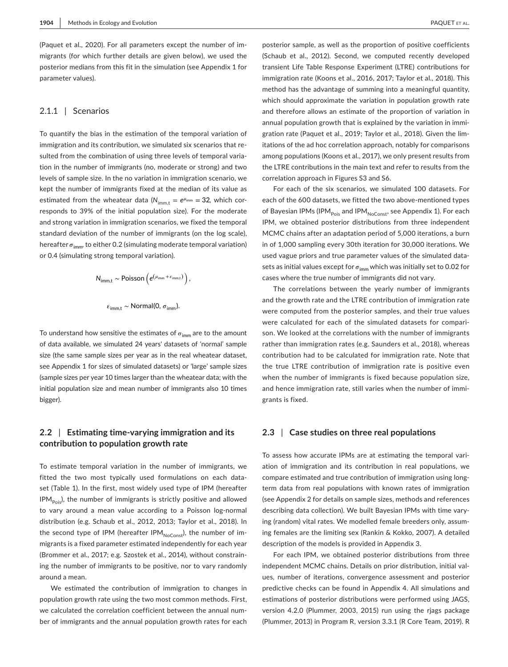(Paquet et al., 2020). For all parameters except the number of immigrants (for which further details are given below), we used the posterior medians from this fit in the simulation (see Appendix 1 for parameter values).

### 2.1.1 | Scenarios

To quantify the bias in the estimation of the temporal variation of immigration and its contribution, we simulated six scenarios that resulted from the combination of using three levels of temporal variation in the number of immigrants (no, moderate or strong) and two levels of sample size. In the no variation in immigration scenario, we kept the number of immigrants fixed at the median of its value as estimated from the wheatear data ( $N_{\text{imm.t}} = e^{\mu_{\text{imm}}} = 32$ , which corresponds to 39% of the initial population size). For the moderate and strong variation in immigration scenarios, we fixed the temporal standard deviation of the number of immigrants (on the log scale), hereafter  $\sigma_{\text{imm}}$ , to either 0.2 (simulating moderate temporal variation) or 0.4 (simulating strong temporal variation).

$$
N_{\text{imm,t}} \sim \text{Poisson}\left(e^{\left(\mu_{\text{imm}} + \varepsilon_{\text{imm,t}}\right)}\right),
$$

$$
\varepsilon_{\rm imm, t} \sim \text{Normal}(0, \sigma_{\rm imm}).
$$

To understand how sensitive the estimates of  $\sigma_{\text{imm}}$  are to the amount of data available, we simulated 24 years' datasets of 'normal' sample size (the same sample sizes per year as in the real wheatear dataset, see Appendix 1 for sizes of simulated datasets) or 'large' sample sizes (sample sizes per year 10 times larger than the wheatear data; with the initial population size and mean number of immigrants also 10 times bigger).

### **2.2** | **Estimating time-varying immigration and its contribution to population growth rate**

To estimate temporal variation in the number of immigrants, we fitted the two most typically used formulations on each dataset (Table 1). In the first, most widely used type of IPM (hereafter  $IPM<sub>pois</sub>$ , the number of immigrants is strictly positive and allowed to vary around a mean value according to a Poisson log-normal distribution (e.g. Schaub et al., 2012, 2013; Taylor et al., 2018). In the second type of IPM (hereafter IPM $_{NoConst}$ ), the number of immigrants is a fixed parameter estimated independently for each year (Brommer et al., 2017; e.g. Szostek et al., 2014), without constraining the number of immigrants to be positive, nor to vary randomly around a mean.

We estimated the contribution of immigration to changes in population growth rate using the two most common methods. First, we calculated the correlation coefficient between the annual number of immigrants and the annual population growth rates for each

posterior sample, as well as the proportion of positive coefficients (Schaub et al., 2012). Second, we computed recently developed transient Life Table Response Experiment (LTRE) contributions for immigration rate (Koons et al., 2016, 2017; Taylor et al., 2018). This method has the advantage of summing into a meaningful quantity, which should approximate the variation in population growth rate and therefore allows an estimate of the proportion of variation in annual population growth that is explained by the variation in immigration rate (Paquet et al., 2019; Taylor et al., 2018). Given the limitations of the ad hoc correlation approach, notably for comparisons among populations (Koons et al., 2017), we only present results from the LTRE contributions in the main text and refer to results from the correlation approach in Figures S3 and S6.

For each of the six scenarios, we simulated 100 datasets. For each of the 600 datasets, we fitted the two above-mentioned types of Bayesian IPMs (IPM<sub>Pois</sub> and IPM<sub>NoConst</sub>, see Appendix 1). For each IPM, we obtained posterior distributions from three independent MCMC chains after an adaptation period of 5,000 iterations, a burn in of 1,000 sampling every 30th iteration for 30,000 iterations. We used vague priors and true parameter values of the simulated datasets as initial values except for  $\sigma_{\text{imm}}$  which was initially set to 0.02 for cases where the true number of immigrants did not vary.

The correlations between the yearly number of immigrants and the growth rate and the LTRE contribution of immigration rate were computed from the posterior samples, and their true values were calculated for each of the simulated datasets for comparison. We looked at the correlations with the number of immigrants rather than immigration rates (e.g. Saunders et al., 2018), whereas contribution had to be calculated for immigration rate. Note that the true LTRE contribution of immigration rate is positive even when the number of immigrants is fixed because population size, and hence immigration rate, still varies when the number of immigrants is fixed.

### **2.3** | **Case studies on three real populations**

To assess how accurate IPMs are at estimating the temporal variation of immigration and its contribution in real populations, we compare estimated and true contribution of immigration using longterm data from real populations with known rates of immigration (see Appendix 2 for details on sample sizes, methods and references describing data collection). We built Bayesian IPMs with time varying (random) vital rates. We modelled female breeders only, assuming females are the limiting sex (Rankin & Kokko, 2007). A detailed description of the models is provided in Appendix 3.

For each IPM, we obtained posterior distributions from three independent MCMC chains. Details on prior distribution, initial values, number of iterations, convergence assessment and posterior predictive checks can be found in Appendix 4. All simulations and estimations of posterior distributions were performed using JAGS, version 4.2.0 (Plummer, 2003, 2015) run using the rjags package (Plummer, 2013) in Program R, version 3.3.1 (R Core Team, 2019). R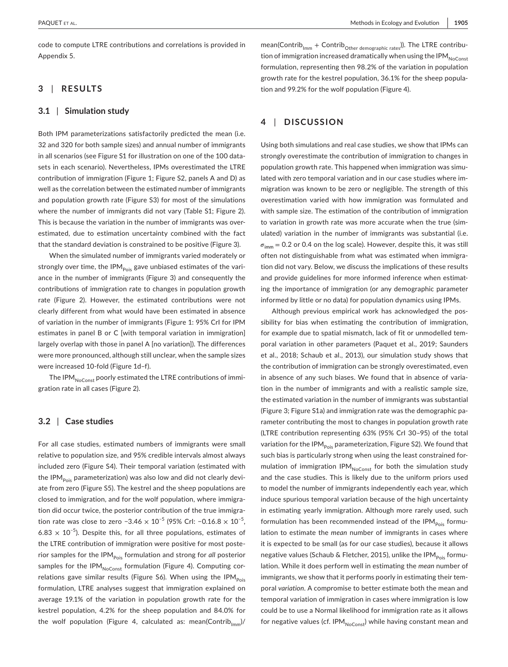code to compute LTRE contributions and correlations is provided in Appendix 5.

### **3** | **RESULTS**

### **3.1** | **Simulation study**

Both IPM parameterizations satisfactorily predicted the mean (i.e. 32 and 320 for both sample sizes) and annual number of immigrants in all scenarios (see Figure S1 for illustration on one of the 100 datasets in each scenario). Nevertheless, IPMs overestimated the LTRE contribution of immigration (Figure 1; Figure S2, panels A and D) as well as the correlation between the estimated number of immigrants and population growth rate (Figure S3) for most of the simulations where the number of immigrants did not vary (Table S1; Figure 2). This is because the variation in the number of immigrants was overestimated, due to estimation uncertainty combined with the fact that the standard deviation is constrained to be positive (Figure 3).

When the simulated number of immigrants varied moderately or strongly over time, the IPM $_{\text{Pois}}$  gave unbiased estimates of the variance in the number of immigrants (Figure 3) and consequently the contributions of immigration rate to changes in population growth rate (Figure 2). However, the estimated contributions were not clearly different from what would have been estimated in absence of variation in the number of immigrants (Figure 1: 95% CrI for IPM estimates in panel B or C [with temporal variation in immigration] largely overlap with those in panel A [no variation]). The differences were more pronounced, although still unclear, when the sample sizes were increased 10-fold (Figure 1d–f).

The IPM $_{NoConst}$  poorly estimated the LTRE contributions of immigration rate in all cases (Figure 2).

### **3.2** | **Case studies**

For all case studies, estimated numbers of immigrants were small relative to population size, and 95% credible intervals almost always included zero (Figure S4). Their temporal variation (estimated with the IPM<sub>Pois</sub> parameterization) was also low and did not clearly deviate from zero (Figure S5). The kestrel and the sheep populations are closed to immigration, and for the wolf population, where immigration did occur twice, the posterior contribution of the true immigration rate was close to zero −3.46  $\times$  10<sup>-5</sup> (95% CrI: −0.16.8  $\times$  10<sup>-5</sup>, 6.83  $\times$  10<sup>-5</sup>). Despite this, for all three populations, estimates of the LTRE contribution of immigration were positive for most posterior samples for the IPM<sub>Pois</sub> formulation and strong for *all* posterior samples for the IPM $_{NoConst}$  formulation (Figure 4). Computing correlations gave similar results (Figure S6). When using the IPM $_{\text{pois}}$ formulation, LTRE analyses suggest that immigration explained on average 19.1% of the variation in population growth rate for the kestrel population, 4.2% for the sheep population and 84.0% for the wolf population (Figure 4, calculated as: mean(Contrib $_{\text{lmm}}$ )/

mean(Contrib<sub>Imm</sub> + Contrib<sub>Other demographic rates</sub>)). The LTRE contribution of immigration increased dramatically when using the IPM $_{\text{NoConst}}$ formulation, representing then 98.2% of the variation in population growth rate for the kestrel population, 36.1% for the sheep population and 99.2% for the wolf population (Figure 4).

### **4** | **DISCUSSION**

Using both simulations and real case studies, we show that IPMs can strongly overestimate the contribution of immigration to changes in population growth rate. This happened when immigration was simulated with zero temporal variation and in our case studies where immigration was known to be zero or negligible. The strength of this overestimation varied with how immigration was formulated and with sample size. The estimation of the contribution of immigration to variation in growth rate was more accurate when the true (simulated) variation in the number of immigrants was substantial (i.e.  $\sigma_{\text{imm}}$  = 0.2 or 0.4 on the log scale). However, despite this, it was still often not distinguishable from what was estimated when immigration did not vary. Below, we discuss the implications of these results and provide guidelines for more informed inference when estimating the importance of immigration (or any demographic parameter informed by little or no data) for population dynamics using IPMs.

Although previous empirical work has acknowledged the possibility for bias when estimating the contribution of immigration, for example due to spatial mismatch, lack of fit or unmodelled temporal variation in other parameters (Paquet et al., 2019; Saunders et al., 2018; Schaub et al., 2013), our simulation study shows that the contribution of immigration can be strongly overestimated, even in absence of any such biases. We found that in absence of variation in the number of immigrants and with a realistic sample size, the estimated variation in the number of immigrants was substantial (Figure 3; Figure S1a) and immigration rate was the demographic parameter contributing the most to changes in population growth rate (LTRE contribution representing 63% (95% CrI 30–95) of the total variation for the IPM $_{\text{Pois}}$  parameterization, Figure S2). We found that such bias is particularly strong when using the least constrained formulation of immigration IPM $_{NoConst}$  for both the simulation study and the case studies. This is likely due to the uniform priors used to model the number of immigrants independently each year, which induce spurious temporal variation because of the high uncertainty in estimating yearly immigration. Although more rarely used, such formulation has been recommended instead of the IPM $_{\text{Pois}}$  formulation to estimate the *mean* number of immigrants in cases where it is expected to be small (as for our case studies), because it allows negative values (Schaub & Fletcher, 2015), unlike the IPM $_{\text{Pois}}$  formulation. While it does perform well in estimating the *mean* number of immigrants, we show that it performs poorly in estimating their temporal *variation*. A compromise to better estimate both the mean and temporal variation of immigration in cases where immigration is low could be to use a Normal likelihood for immigration rate as it allows for negative values (cf. IPM $_{NoConst}$ ) while having constant mean and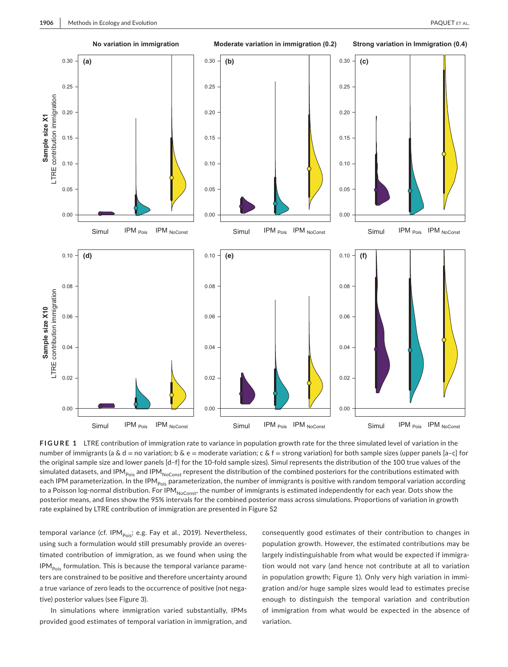

**FIGURE 1** LTRE contribution of immigration rate to variance in population growth rate for the three simulated level of variation in the number of immigrants (a & d = no variation; b & e = moderate variation; c & f = strong variation) for both sample sizes (upper panels [a-c] for the original sample size and lower panels [d–f] for the 10-fold sample sizes). Simul represents the distribution of the 100 true values of the simulated datasets, and IPM<sub>Pois</sub> and IPM<sub>NoConst</sub> represent the distribution of the combined posteriors for the contributions estimated with each IPM parameterization. In the IPM<sub>Pois</sub> parameterization, the number of immigrants is positive with random temporal variation according to a Poisson log-normal distribution. For IPM<sub>NoConst</sub>, the number of immigrants is estimated independently for each year. Dots show the posterior means, and lines show the 95% intervals for the combined posterior mass across simulations. Proportions of variation in growth rate explained by LTRE contribution of immigration are presented in Figure S2

temporal variance (cf. IPM<sub>pois</sub>; e.g. Fay et al., 2019). Nevertheless, using such a formulation would still presumably provide an overestimated contribution of immigration, as we found when using the  $IPM<sub>pois</sub>$  formulation. This is because the temporal variance parameters are constrained to be positive and therefore uncertainty around a true variance of zero leads to the occurrence of positive (not negative) posterior values (see Figure 3).

In simulations where immigration varied substantially, IPMs provided good estimates of temporal variation in immigration, and

consequently good estimates of their contribution to changes in population growth. However, the estimated contributions may be largely indistinguishable from what would be expected if immigration would not vary (and hence not contribute at all to variation in population growth; Figure 1). Only very high variation in immigration and/or huge sample sizes would lead to estimates precise enough to distinguish the temporal variation and contribution of immigration from what would be expected in the absence of variation.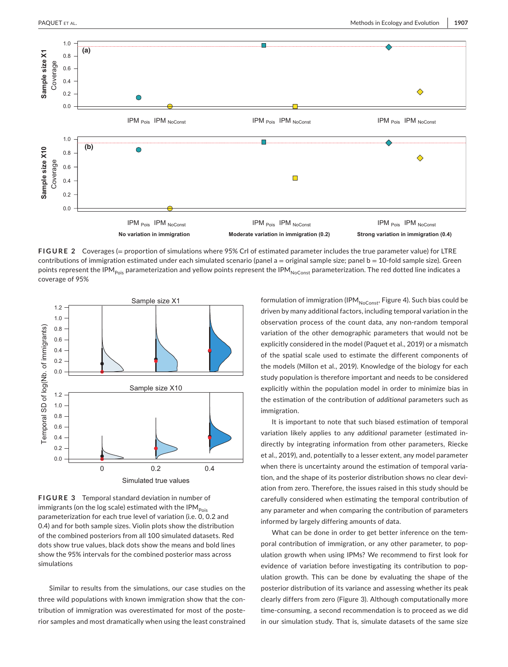

**FIGURE 2** Coverages (= proportion of simulations where 95% CrI of estimated parameter includes the true parameter value) for LTRE contributions of immigration estimated under each simulated scenario (panel  $a =$  original sample size; panel  $b = 10$ -fold sample size). Green points represent the IPM<sub>Pois</sub> parameterization and yellow points represent the IPM<sub>NoConst</sub> parameterization. The red dotted line indicates a coverage of 95%



**FIGURE 3** Temporal standard deviation in number of immigrants (on the log scale) estimated with the IPM $_{\text{Pois}}$ parameterization for each true level of variation (i.e. 0, 0.2 and 0.4) and for both sample sizes. Violin plots show the distribution of the combined posteriors from all 100 simulated datasets. Red dots show true values, black dots show the means and bold lines show the 95% intervals for the combined posterior mass across simulations

Similar to results from the simulations, our case studies on the three wild populations with known immigration show that the contribution of immigration was overestimated for most of the posterior samples and most dramatically when using the least constrained formulation of immigration (IPM $_{NoConst}$ , Figure 4). Such bias could be driven by many additional factors, including temporal variation in the observation process of the count data, any non-random temporal variation of the other demographic parameters that would not be explicitly considered in the model (Paquet et al., 2019) or a mismatch of the spatial scale used to estimate the different components of the models (Millon et al., 2019). Knowledge of the biology for each study population is therefore important and needs to be considered explicitly within the population model in order to minimize bias in the estimation of the contribution of *additional* parameters such as immigration.

It is important to note that such biased estimation of temporal variation likely applies to any *additional* parameter (estimated indirectly by integrating information from other parameters, Riecke et al., 2019), and, potentially to a lesser extent, any model parameter when there is uncertainty around the estimation of temporal variation, and the shape of its posterior distribution shows no clear deviation from zero. Therefore, the issues raised in this study should be carefully considered when estimating the temporal contribution of any parameter and when comparing the contribution of parameters informed by largely differing amounts of data.

What can be done in order to get better inference on the temporal contribution of immigration, or any other parameter, to population growth when using IPMs? We recommend to first look for evidence of variation before investigating its contribution to population growth. This can be done by evaluating the shape of the posterior distribution of its variance and assessing whether its peak clearly differs from zero (Figure 3). Although computationally more time-consuming, a second recommendation is to proceed as we did in our simulation study. That is, simulate datasets of the same size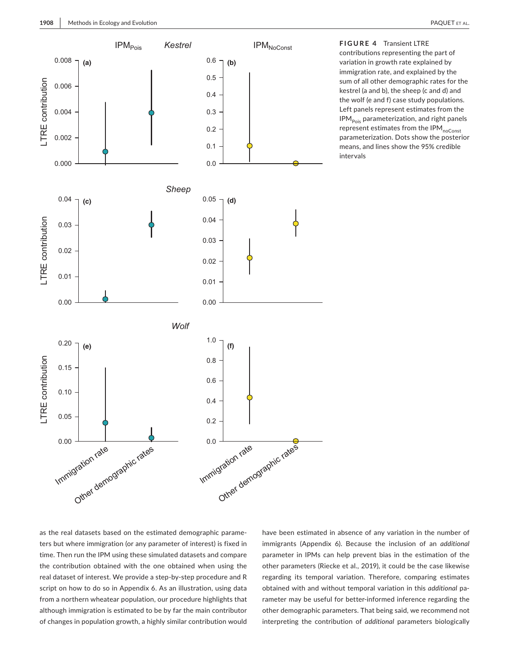

**FIGURE 4** Transient LTRE contributions representing the part of variation in growth rate explained by immigration rate, and explained by the sum of all other demographic rates for the kestrel (a and b), the sheep (c and d) and the wolf (e and f) case study populations. Left panels represent estimates from the  $IPM<sub>pois</sub>$  parameterization, and right panels represent estimates from the IPM<sub>noConst</sub> parameterization. Dots show the posterior means, and lines show the 95% credible intervals

as the real datasets based on the estimated demographic parameters but where immigration (or any parameter of interest) is fixed in time. Then run the IPM using these simulated datasets and compare the contribution obtained with the one obtained when using the real dataset of interest. We provide a step-by-step procedure and R script on how to do so in Appendix 6. As an illustration, using data from a northern wheatear population, our procedure highlights that although immigration is estimated to be by far the main contributor of changes in population growth, a highly similar contribution would

have been estimated in absence of any variation in the number of immigrants (Appendix 6). Because the inclusion of an *additional* parameter in IPMs can help prevent bias in the estimation of the other parameters (Riecke et al., 2019), it could be the case likewise regarding its temporal variation. Therefore, comparing estimates obtained with and without temporal variation in this *additional* parameter may be useful for better-informed inference regarding the other demographic parameters. That being said, we recommend not interpreting the contribution of *additional* parameters biologically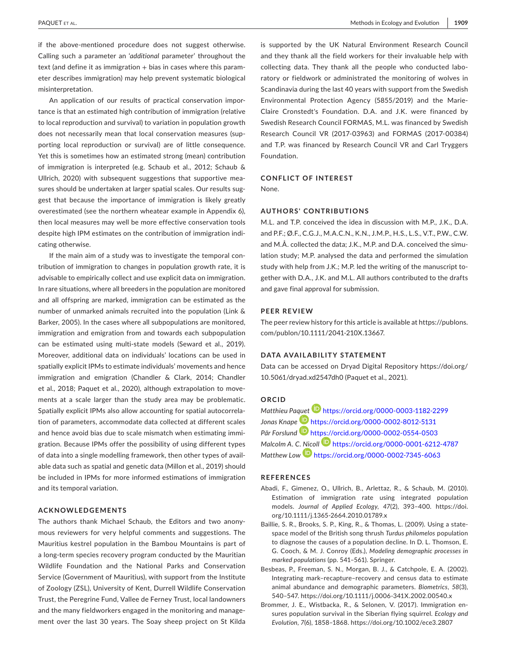if the above-mentioned procedure does not suggest otherwise. Calling such a parameter an '*additional* parameter' throughout the  $text$  (and define it as immigration  $+$  bias in cases where this parameter describes immigration) may help prevent systematic biological misinterpretation.

An application of our results of practical conservation importance is that an estimated high contribution of immigration (relative to local reproduction and survival) to variation in population growth does not necessarily mean that local conservation measures (supporting local reproduction or survival) are of little consequence. Yet this is sometimes how an estimated strong (mean) contribution of immigration is interpreted (e.g. Schaub et al., 2012; Schaub & Ullrich, 2020) with subsequent suggestions that supportive measures should be undertaken at larger spatial scales. Our results suggest that because the importance of immigration is likely greatly overestimated (see the northern wheatear example in Appendix 6), then local measures may well be more effective conservation tools despite high IPM estimates on the contribution of immigration indicating otherwise.

If the main aim of a study was to investigate the temporal contribution of immigration to changes in population growth rate, it is advisable to empirically collect and use explicit data on immigration. In rare situations, where all breeders in the population are monitored and all offspring are marked, immigration can be estimated as the number of unmarked animals recruited into the population (Link & Barker, 2005). In the cases where all subpopulations are monitored, immigration and emigration from and towards each subpopulation can be estimated using multi-state models (Seward et al., 2019). Moreover, additional data on individuals' locations can be used in spatially explicit IPMs to estimate individuals' movements and hence immigration and emigration (Chandler & Clark, 2014; Chandler et al., 2018; Paquet et al., 2020), although extrapolation to movements at a scale larger than the study area may be problematic. Spatially explicit IPMs also allow accounting for spatial autocorrelation of parameters, accommodate data collected at different scales and hence avoid bias due to scale mismatch when estimating immigration. Because IPMs offer the possibility of using different types of data into a single modelling framework, then other types of available data such as spatial and genetic data (Millon et al., 2019) should be included in IPMs for more informed estimations of immigration and its temporal variation.

### **ACKNOWLEDGEMENTS**

The authors thank Michael Schaub, the Editors and two anonymous reviewers for very helpful comments and suggestions. The Mauritius kestrel population in the Bambou Mountains is part of a long-term species recovery program conducted by the Mauritian Wildlife Foundation and the National Parks and Conservation Service (Government of Mauritius), with support from the Institute of Zoology (ZSL), University of Kent, Durrell Wildlife Conservation Trust, the Peregrine Fund, Vallee de Ferney Trust, local landowners and the many fieldworkers engaged in the monitoring and management over the last 30 years. The Soay sheep project on St Kilda

is supported by the UK Natural Environment Research Council and they thank all the field workers for their invaluable help with collecting data. They thank all the people who conducted laboratory or fieldwork or administrated the monitoring of wolves in Scandinavia during the last 40 years with support from the Swedish Environmental Protection Agency (5855/2019) and the Marie-Claire Cronstedt's Foundation. D.A. and J.K. were financed by Swedish Research Council FORMAS, M.L. was financed by Swedish Research Council VR (2017-03963) and FORMAS (2017-00384) and T.P. was financed by Research Council VR and Carl Tryggers Foundation.

### **CONFLICT OF INTEREST**

None.

### **AUTHORS' CONTRIBUTIONS**

M.L. and T.P. conceived the idea in discussion with M.P., J.K., D.A. and P.F.; Ø.F., C.G.J., M.A.C.N., K.N., J.M.P., H.S., L.S., V.T., P.W., C.W. and M.Å. collected the data; J.K., M.P. and D.A. conceived the simulation study; M.P. analysed the data and performed the simulation study with help from J.K.; M.P. led the writing of the manuscript together with D.A., J.K. and M.L. All authors contributed to the drafts and gave final approval for submission.

### **PEER REVIEW**

The peer review history for this article is available at [https://publons.](https://publons.com/publon/10.1111/2041-210X.13667) [com/publon/10.1111/2041-210X.13667](https://publons.com/publon/10.1111/2041-210X.13667).

### **DATA AVAILABILITY STATEMENT**

Data can be accessed on Dryad Digital Repository [https://doi.org/](https://doi.org/10.5061/dryad.xd2547dh0) [10.5061/dryad.xd2547dh0](https://doi.org/10.5061/dryad.xd2547dh0) (Paquet et al., 2021).

### **ORCID**

*Matthieu Pa[quet](https://orcid.org/0000-0002-8012-5131)* <https://orcid.org/0000-0003-1182-2299> *Jonas Knape* <https://orcid.org/0000-0002-8012-5131> *Pär Forslund* <https://orcid.org/0000-0002-0554-0503> *Malcolm A. C[. Nico](https://orcid.org/0000-0002-7345-6063)ll* <https://orcid.org/0000-0001-6212-4787> *Matthew Low* <https://orcid.org/0000-0002-7345-6063>

### **REFERENCES**

- Abadi, F., Gimenez, O., Ullrich, B., Arlettaz, R., & Schaub, M. (2010). Estimation of immigration rate using integrated population models. *Journal of Applied Ecology*, *47*(2), 393–400. [https://doi.](https://doi.org/10.1111/j.1365-2664.2010.01789.x) [org/10.1111/j.1365-2664.2010.01789.x](https://doi.org/10.1111/j.1365-2664.2010.01789.x)
- Baillie, S. R., Brooks, S. P., King, R., & Thomas, L. (2009). Using a statespace model of the British song thrush *Turdus philomelos* population to diagnose the causes of a population decline. In D. L. Thomson, E. G. Cooch, & M. J. Conroy (Eds.), *Modeling demographic processes in marked populations* (pp. 541–561). Springer.
- Besbeas, P., Freeman, S. N., Morgan, B. J., & Catchpole, E. A. (2002). Integrating mark–recapture–recovery and census data to estimate animal abundance and demographic parameters. *Biometrics*, *58*(3), 540–547. <https://doi.org/10.1111/j.0006-341X.2002.00540.x>
- Brommer, J. E., Wistbacka, R., & Selonen, V. (2017). Immigration ensures population survival in the Siberian flying squirrel. *Ecology and Evolution*, *7*(6), 1858–1868.<https://doi.org/10.1002/ece3.2807>